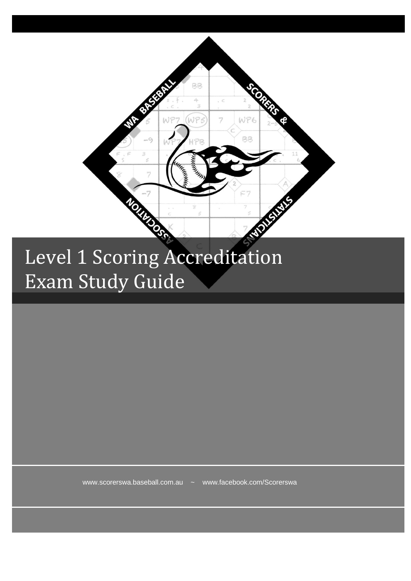

## Level 1 Scoring Accreditation Exam Study Guide

www.scorerswa.baseball.com.au ~ www.facebook.com/Scorerswa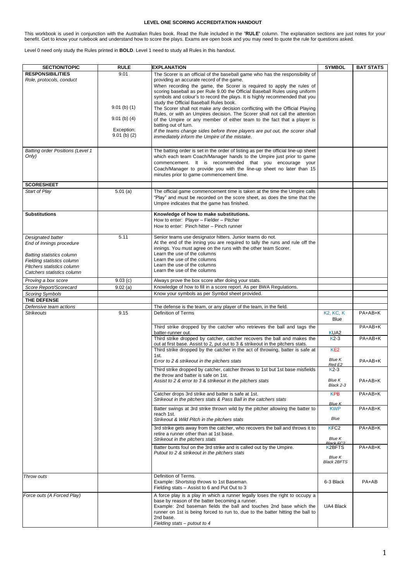## **LEVEL ONE SCORING ACCREDITATION HANDOUT**

This workbook is used in conjunction with the Australian Rules book. Read the Rule included in the **'RULE'** column. The explanation sections are just notes for your<br>benefit. Get to know your rulebook and understand how to

Level 0 need only study the Rules printed in **BOLD**. Level 1 need to study all Rules in this handout.

| <b>SECTION/TOPIC</b>                                    | <b>RULE</b>    | <b>EXPLANATION</b>                                                                                                                                               | <b>SYMBOL</b>               | <b>BAT STATS</b> |
|---------------------------------------------------------|----------------|------------------------------------------------------------------------------------------------------------------------------------------------------------------|-----------------------------|------------------|
| <b>RESPONSIBILITIES</b>                                 | 9.01           | The Scorer is an official of the baseball game who has the responsibility of                                                                                     |                             |                  |
| Role, protocols, conduct                                |                | providing an accurate record of the game.                                                                                                                        |                             |                  |
|                                                         |                | When recording the game, the Scorer is required to apply the rules of                                                                                            |                             |                  |
|                                                         |                | scoring baseball as per Rule 9.00 the Official Baseball Rules using uniform                                                                                      |                             |                  |
|                                                         |                | symbols and colour's to record the plays. It is highly recommended that you                                                                                      |                             |                  |
|                                                         | $9.01$ (b) (1) | study the Official Baseball Rules book.<br>The Scorer shall not make any decision conflicting with the Official Playing                                          |                             |                  |
|                                                         |                | Rules, or with an Umpires decision. The Scorer shall not call the attention                                                                                      |                             |                  |
|                                                         | $9.01$ (b) (4) | of the Umpire or any member of either team to the fact that a player is                                                                                          |                             |                  |
|                                                         | Exception:     | batting out of turn.                                                                                                                                             |                             |                  |
|                                                         | $9.01$ (b) (2) | If the teams change sides before three players are put out, the scorer shall<br>immediately inform the Umpire of the mistake.                                    |                             |                  |
|                                                         |                |                                                                                                                                                                  |                             |                  |
| <b>Batting order Positions (Level 1</b>                 |                | The batting order is set in the order of listing as per the official line-up sheet                                                                               |                             |                  |
| Only)                                                   |                | which each team Coach/Manager hands to the Umpire just prior to game                                                                                             |                             |                  |
|                                                         |                | commencement. It is recommended that you encourage your                                                                                                          |                             |                  |
|                                                         |                | Coach/Manager to provide you with the line-up sheet no later than 15                                                                                             |                             |                  |
|                                                         |                | minutes prior to game commencement time.                                                                                                                         |                             |                  |
| <b>SCORESHEET</b>                                       |                |                                                                                                                                                                  |                             |                  |
| Start of Play                                           | 5.01(a)        | The official game commencement time is taken at the time the Umpire calls                                                                                        |                             |                  |
|                                                         |                | "Play" and must be recorded on the score sheet, as does the time that the                                                                                        |                             |                  |
|                                                         |                | Umpire indicates that the game has finished.                                                                                                                     |                             |                  |
| <b>Substitutions</b>                                    |                | Knowledge of how to make substitutions.                                                                                                                          |                             |                  |
|                                                         |                | How to enter: Player - Fielder - Pitcher                                                                                                                         |                             |                  |
|                                                         |                | How to enter: Pinch hitter - Pinch runner                                                                                                                        |                             |                  |
| Designated batter                                       | 5.11           | Senior teams use designator hitters. Junior teams do not.                                                                                                        |                             |                  |
| End of Innings procedure                                |                | At the end of the inning you are required to tally the runs and rule off the                                                                                     |                             |                  |
|                                                         |                | innings. You must agree on the runs with the other team Scorer.<br>Learn the use of the columns                                                                  |                             |                  |
| Batting statistics column<br>Fielding statistics column |                | Learn the use of the columns                                                                                                                                     |                             |                  |
| Pitchers statistics column                              |                | Learn the use of the columns                                                                                                                                     |                             |                  |
| Catchers statistics column                              |                | Learn the use of the columns                                                                                                                                     |                             |                  |
| Proving a box score                                     | 9.03(c)        | Always prove the box score after doing your stats.                                                                                                               |                             |                  |
| Score Report/Scorecard                                  | 9.02(a)        | Knowledge of how to fill in a score report. As per BWA Regulations.                                                                                              |                             |                  |
| <b>Scoring Symbols</b>                                  |                | Know your symbols as per Symbol sheet provided.                                                                                                                  |                             |                  |
| THE DEFENSE                                             |                |                                                                                                                                                                  |                             |                  |
| Defensive team actions<br><b>Strikeouts</b>             | 9.15           | The defense is the team, or any player of the team, in the field.<br><b>Definition of Terms</b>                                                                  | <b>K2, KC, K</b>            | PA+AB+K          |
|                                                         |                |                                                                                                                                                                  | Blue                        |                  |
|                                                         |                | Third strike dropped by the catcher who retrieves the ball and tags the                                                                                          |                             | PA+AB+K          |
|                                                         |                | batter-runner out.                                                                                                                                               | KUA <sub>2</sub>            |                  |
|                                                         |                | Third strike dropped by catcher, catcher recovers the ball and makes the                                                                                         | $K2-3$                      | PA+AB+K          |
|                                                         |                | out at first base. Assist to 2, put out to 3 & strikeout in the pitchers stats.<br>Third strike dropped by the catcher in the act of throwing, batter is safe at | KE <sub>2</sub>             |                  |
|                                                         |                | 1st.                                                                                                                                                             |                             |                  |
|                                                         |                | Error to 2 & strikeout in the pitchers stats                                                                                                                     | <b>Blue K</b><br>Red E2     | PA+AB+K          |
|                                                         |                | Third strike dropped by catcher, catcher throws to 1st but 1st base misfields                                                                                    | $K2-3$                      |                  |
|                                                         |                | the throw and batter is safe on 1st.                                                                                                                             |                             |                  |
|                                                         |                | Assist to 2 & error to 3 & strikeout in the pitchers stats                                                                                                       | <b>Blue K</b><br>Black 2-3  | PA+AB+K          |
|                                                         |                |                                                                                                                                                                  |                             |                  |
|                                                         |                | Catcher drops 3rd strike and batter is safe at 1st.<br>Strikeout in the pitchers stats & Pass Ball in the catchers stats                                         | <b>KPB</b>                  | PA+AB+K          |
|                                                         |                | Batter swings at 3rd strike thrown wild by the pitcher allowing the batter to                                                                                    | <b>Blue K</b><br><b>KWP</b> | PA+AB+K          |
|                                                         |                | reach 1st.                                                                                                                                                       |                             |                  |
|                                                         |                | Strikeout & Wild Pitch in the pitchers stats                                                                                                                     | Blue                        |                  |
|                                                         |                | 3rd strike gets away from the catcher, who recovers the ball and throws it to                                                                                    | KFC <sub>2</sub>            | PA+AB+K          |
|                                                         |                | retire a runner other than at 1st base.                                                                                                                          |                             |                  |
|                                                         |                | Strikeout in the pitchers stats                                                                                                                                  | Blue K                      |                  |
|                                                         |                | Batter bunts foul on the 3rd strike and is called out by the Umpire.                                                                                             | <b>K2BFTS</b>               | PA+AB+K          |
|                                                         |                | Putout to 2 & strikeout in the pitchers stats                                                                                                                    | <b>Blue K</b>               |                  |
|                                                         |                |                                                                                                                                                                  | <b>Black 2BFTS</b>          |                  |
|                                                         |                |                                                                                                                                                                  |                             |                  |
| Throw outs                                              |                | Definition of Terms.                                                                                                                                             |                             |                  |
|                                                         |                | Example: Shortstop throws to 1st Baseman.<br>Fielding stats - Assist to 6 and Put Out to 3                                                                       | 6-3 Black                   | PA+AB            |
| Force outs (A Forced Play)                              |                | A force play is a play in which a runner legally loses the right to occupy a                                                                                     |                             |                  |
|                                                         |                | base by reason of the batter becoming a runner.                                                                                                                  |                             |                  |
|                                                         |                | Example: 2nd baseman fields the ball and touches 2nd base which the                                                                                              | UA4 Black                   |                  |
|                                                         |                | runner on 1st is being forced to run to, due to the batter hitting the ball to<br>2nd base.                                                                      |                             |                  |
|                                                         |                | Fielding stats - putout to 4                                                                                                                                     |                             |                  |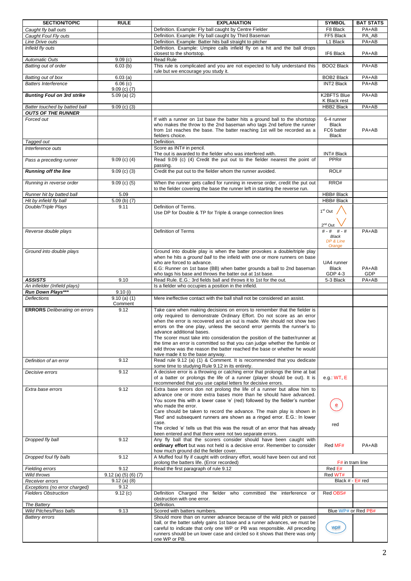| <b>SECTION/TOPIC</b>                 | <b>RULE</b>                 | <b>EXPLANATION</b>                                                                                                                                       | <b>SYMBOL</b>       | <b>BAT STATS</b> |
|--------------------------------------|-----------------------------|----------------------------------------------------------------------------------------------------------------------------------------------------------|---------------------|------------------|
| Caught fly ball outs                 |                             | Definition. Example: Fly ball caught by Centre Fielder                                                                                                   | F8 Black            | $PA+AB$          |
| Caught Foul Fly outs                 |                             | Definition. Example: Fly ball caught by Third Baseman                                                                                                    | FF5 Black           | PA AB            |
| Line Drive outs                      |                             | Definition. Example: Batter hits ball straight to pitcher                                                                                                | L1 Black            | PA+AB            |
| Infield fly outs                     |                             | Definition. Example: Umpire calls infield fly on a hit and the ball drops                                                                                |                     |                  |
|                                      |                             | closest to the shortstop.                                                                                                                                | IF6 Black           | PA+AB            |
| <b>Automatic Outs</b>                | 9.09(c)                     | <b>Read Rule</b>                                                                                                                                         |                     |                  |
| Batting out of order                 | 6.03(b)                     | This rule is complicated and you are not expected to fully understand this                                                                               | <b>BOO2 Black</b>   | $PA+AB$          |
|                                      |                             | rule but we encourage you study it.                                                                                                                      |                     |                  |
| Batting out of box                   | 6.03(a)                     |                                                                                                                                                          | <b>BOB2 Black</b>   | PA+AB            |
| <b>Batters Interference</b>          | 6.06(c)                     |                                                                                                                                                          | <b>INT2 Black</b>   | PA+AB            |
|                                      | $9.09$ (c) (7)              |                                                                                                                                                          |                     |                  |
| <b>Bunting Foul on 3rd strike</b>    | $5.09$ (a) (2)              |                                                                                                                                                          | <b>K2BFTS Blue</b>  | PA+AB            |
|                                      |                             |                                                                                                                                                          | K Black rest        |                  |
| Batter touched by batted ball        | $9.09$ (c) (3)              |                                                                                                                                                          | HBB2 Black          | PA+AB            |
| <b>OUTS OF THE RUNNER</b>            |                             |                                                                                                                                                          |                     |                  |
| Forced out                           |                             | If with a runner on 1st base the batter hits a ground ball to the shortstop                                                                              | 6-4 runner          |                  |
|                                      |                             | who makes the throw to the 2nd baseman who tags 2nd before the runner                                                                                    | <b>Black</b>        |                  |
|                                      |                             | from 1st reaches the base. The batter reaching 1st will be recorded as a                                                                                 | FC6 batter          | PA+AB            |
|                                      |                             | fielders choice.                                                                                                                                         | <b>Black</b>        |                  |
| Tagged out                           |                             | Definition.                                                                                                                                              |                     |                  |
| Interference outs                    |                             | Score as INT# in pencil.                                                                                                                                 |                     |                  |
|                                      |                             | The out is awarded to the fielder who was interfered with.                                                                                               | <b>INT# Black</b>   |                  |
| Pass a preceding runner              | $9.09$ (c) (4)              | Read 9.09 (c) (4) Credit the put out to the fielder nearest the point of                                                                                 | PPR#                |                  |
|                                      |                             | passing.                                                                                                                                                 |                     |                  |
| <b>Running off the line</b>          | $\frac{0.09}{0.09}$ (c) (3) | Credit the put out to the fielder whom the runner avoided.                                                                                               | ROL#                |                  |
|                                      |                             |                                                                                                                                                          |                     |                  |
| Running in reverse order             | $9.09$ (c) (5)              | When the runner gets called for running in reverse order, credit the put out                                                                             | RRO#                |                  |
|                                      |                             | to the fielder covering the base the runner left in starting the reverse run.                                                                            |                     |                  |
| Runner hit by batted ball            | 5.09                        |                                                                                                                                                          | HBB# Black          |                  |
| Hit by infield fly ball              | $5.09$ (b) $(7)$            |                                                                                                                                                          | HBB# Black          |                  |
| Double/Triple Plays                  | 9.11                        | Definition of Terms.                                                                                                                                     |                     |                  |
|                                      |                             | Use DP for Double & TP for Triple & orange connection lines                                                                                              | 1 <sup>st</sup> Out |                  |
|                                      |                             |                                                                                                                                                          |                     |                  |
|                                      |                             |                                                                                                                                                          | 2 <sup>nd</sup> Out |                  |
| Reverse double plays                 |                             | Definition of Terms                                                                                                                                      | $# - # + + +$       | PA+AB            |
|                                      |                             |                                                                                                                                                          | Black               |                  |
|                                      |                             |                                                                                                                                                          | DP & Line<br>Orange |                  |
| Ground into double plays             |                             | Ground into double play is when the batter provokes a double/triple play                                                                                 |                     |                  |
|                                      |                             | when he hits a ground ball to the infield with one or more runners on base                                                                               |                     |                  |
|                                      |                             | who are forced to advance.                                                                                                                               | UA4 runner          |                  |
|                                      |                             | E.G: Runner on 1st base (BB) when batter grounds a ball to 2nd baseman                                                                                   | Black               | PA+AB            |
|                                      |                             | who tags his base and throws the batter out at 1st base.                                                                                                 | GDP 4-3             | GDP              |
| <b>ASSISTS</b>                       | 9.10                        | Read Rule. E.G.: 3rd fields ball and throws it to 1st for the out.                                                                                       | 5-3 Black           | PA+AB            |
| An infielder (Infield plays)         |                             | Is a fielder who occupies a position in the infield.                                                                                                     |                     |                  |
| Run Down Plays***                    | 9.10(i)                     |                                                                                                                                                          |                     |                  |
| <b>Deflections</b>                   | $9.10$ (a) (1)              | Mere ineffective contact with the ball shall not be considered an assist.                                                                                |                     |                  |
|                                      | Comment                     |                                                                                                                                                          |                     |                  |
| <b>ERRORS</b> Deliberating on errors | 9.12                        | Take care when making decisions on errors to remember that the fielder is                                                                                |                     |                  |
|                                      |                             | only required to demonstrate Ordinary Effort. Do not score as an error                                                                                   |                     |                  |
|                                      |                             | when the error is recovered and an out is made. We should not show two                                                                                   |                     |                  |
|                                      |                             | errors on the one play, unless the second error permits the runner's to                                                                                  |                     |                  |
|                                      |                             | advance additional bases.                                                                                                                                |                     |                  |
|                                      |                             | The scorer must take into consideration the position of the batter/runner at                                                                             |                     |                  |
|                                      |                             | the time an error is committed so that you can judge whether the fumble or                                                                               |                     |                  |
|                                      |                             | wild throw was the reason the batter reached the base or whether he would                                                                                |                     |                  |
|                                      |                             | have made it to the base anyway.                                                                                                                         |                     |                  |
| Definition of an error               | 9.12                        | Read rule 9.12 (a) (1) & Comment. It is recommended that you dedicate                                                                                    |                     |                  |
|                                      |                             | some time to studying Rule 9.12 in its entirety.                                                                                                         |                     |                  |
| Decisive errors                      | 9.12                        | A decisive error is a throwing or catching error that prolongs the time at bat                                                                           |                     |                  |
|                                      |                             | of a batter or prolongs the life of a runner (player should be out). It is<br>recommended that you use capital letters for decisive errors.              | e.g WT, E           |                  |
| Extra base errors                    | 9.12                        | Extra base errors don not prolong the life of a runner but allow him to                                                                                  |                     |                  |
|                                      |                             | advance one or more extra bases more than he should have advanced.                                                                                       |                     |                  |
|                                      |                             | You score this with a lower case 'e' (red) followed by the fielder's number                                                                              |                     |                  |
|                                      |                             | who made the error.                                                                                                                                      | e                   |                  |
|                                      |                             | Care should be taken to record the advance. The main play is shown in                                                                                    |                     |                  |
|                                      |                             | 'Red' and subsequent runners are shown as a ringed error. E.G.: In lower                                                                                 |                     |                  |
|                                      |                             | case.                                                                                                                                                    | red                 |                  |
|                                      |                             | The circled 'e' tells us that this was the result of an error that has already                                                                           |                     |                  |
|                                      |                             | been entered and that there were not two separate errors.                                                                                                |                     |                  |
| Dropped fly ball                     | 9.12                        | Any fly ball that the scorers consider should have been caught with                                                                                      |                     |                  |
|                                      |                             | ordinary effort but was not held is a decisive error. Remember to consider                                                                               | Red MF#             | PA+AB            |
|                                      |                             | how much ground did the fielder cover.                                                                                                                   |                     |                  |
| Dropped foul fly balls               | 9.12                        | A Muffed foul fly if caught with ordinary effort, would have been out and not                                                                            |                     |                  |
|                                      |                             | prolong the batters life. (Error recorded)                                                                                                               | F# in tram line     |                  |
| <b>Fielding errors</b>               | 9.12                        | Read the first paragraph of rule 9.12                                                                                                                    | Red E#              |                  |
| Wild throws                          | $9.12$ (a) (5) (6) (7)      |                                                                                                                                                          | Red WT#             |                  |
| Receiver errors                      | $9.12$ (a) (8)              |                                                                                                                                                          | Black # E# red      |                  |
| Exceptions (no error charged)        | 9.12                        |                                                                                                                                                          |                     |                  |
| <b>Fielders Obstruction</b>          | 9.12(c)                     | Definition Charged the fielder who committed the interference or                                                                                         | Red OBS#            |                  |
|                                      |                             | obstruction with one error.                                                                                                                              |                     |                  |
| The Battery                          |                             | Definition.                                                                                                                                              |                     |                  |
| Wild Pitches/Pass balls              | 9.13                        | Scored with batters numbers.                                                                                                                             | Blue WP# or Red PB# |                  |
| <b>Battery errors</b>                |                             | Should more than on runner advance because of the wild pitch or passed                                                                                   |                     |                  |
|                                      |                             | ball, or the batter safely gains 1st base and a runner advances, we must be                                                                              |                     |                  |
|                                      |                             | careful to indicate that only one WP or PB was responsible. All preceding<br>runners should be un lower case and circled so it shows that there was only | wp#                 |                  |
|                                      |                             | one WP or PB.                                                                                                                                            |                     |                  |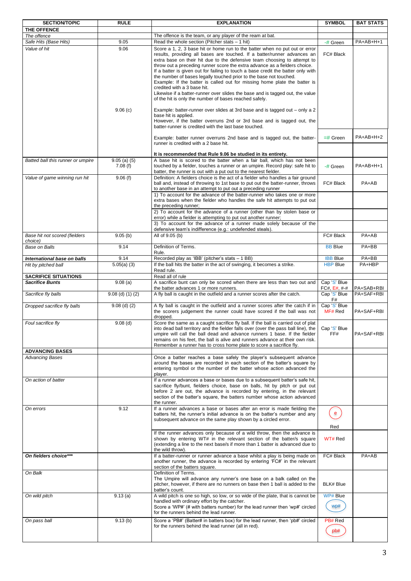| <b>SECTION/TOPIC</b>                             | <b>RULE</b>                   | <b>EXPLANATION</b>                                                                                                                                                                                                                                                                                                                                                                                                                                                                                                                                                                                                                                                                                                                                                                                                                                                                                                                                                                                                                                                                                                                                  | <b>SYMBOL</b>                                  | <b>BAT STATS</b>           |
|--------------------------------------------------|-------------------------------|-----------------------------------------------------------------------------------------------------------------------------------------------------------------------------------------------------------------------------------------------------------------------------------------------------------------------------------------------------------------------------------------------------------------------------------------------------------------------------------------------------------------------------------------------------------------------------------------------------------------------------------------------------------------------------------------------------------------------------------------------------------------------------------------------------------------------------------------------------------------------------------------------------------------------------------------------------------------------------------------------------------------------------------------------------------------------------------------------------------------------------------------------------|------------------------------------------------|----------------------------|
| THE OFFENCE                                      |                               |                                                                                                                                                                                                                                                                                                                                                                                                                                                                                                                                                                                                                                                                                                                                                                                                                                                                                                                                                                                                                                                                                                                                                     |                                                |                            |
| The offence                                      |                               | The offence is the team, or any player of the ream at bat.                                                                                                                                                                                                                                                                                                                                                                                                                                                                                                                                                                                                                                                                                                                                                                                                                                                                                                                                                                                                                                                                                          |                                                |                            |
| Safe Hits (Base Hits)<br>Value of hit            | 9.05<br>9.06<br>9.06(c)       | Read the whole section (Pitcher stats $-1$ hit)<br>Score a 1, 2, 3 base hit or home run to the batter when no put out or error<br>results, providing all bases are touched. If a batter/runner advances an<br>extra base on their hit due to the defensive team choosing to attempt to<br>throw out a preceding runner score the extra advance as a fielders choice.<br>If a batter is given out for failing to touch a base credit the batter only with<br>the number of bases legally touched prior to the base not touched.<br>Example: If the batter is called out for missing home plate the batter is<br>credited with a 3 base hit.<br>Likewise if a batter-runner over slides the base and is tagged out, the value<br>of the hit is only the number of bases reached safely.<br>Example: batter-runner over slides at 3rd base and is tagged out – only a 2<br>base hit is applied.<br>However, if the batter overruns 2nd or 3rd base and is tagged out, the<br>batter-runner is credited with the last base touched.<br>Example: batter runner overruns 2nd base and is tagged out, the batter-<br>runner is credited with a 2 base hit. | -# Green<br>FC# Black<br>$=$ # Green           | $PA+AB+H+1$<br>$PA+AB+H+2$ |
|                                                  |                               | It is recommended that Rule 9.06 be studied in its entirety.                                                                                                                                                                                                                                                                                                                                                                                                                                                                                                                                                                                                                                                                                                                                                                                                                                                                                                                                                                                                                                                                                        |                                                |                            |
| Batted ball this runner or umpire                | $9.05$ (a) (5)<br>7.08(f)     | A base hit is scored to the batter when a fair ball, which has not been<br>touched by a fielder, touches a runner or an umpire. Record play: safe hit to<br>batter, the runner is out with a put out to the nearest fielder.                                                                                                                                                                                                                                                                                                                                                                                                                                                                                                                                                                                                                                                                                                                                                                                                                                                                                                                        | -# Green                                       | PA+AB+H+1                  |
| Value of game winning run hit                    | 9.06(f)                       | Definition: A fielders choice is the act of a fielder who handles a fair ground<br>ball and, instead of throwing to 1st base to put out the batter-runner, throws<br>to another base in an attempt to put out a preceding runner                                                                                                                                                                                                                                                                                                                                                                                                                                                                                                                                                                                                                                                                                                                                                                                                                                                                                                                    | FC# Black                                      | PA+AB                      |
|                                                  |                               | 1) To account for the advance of the batter-runner who takes one or more<br>extra bases when the fielder who handles the safe hit attempts to put out<br>the preceding runner;                                                                                                                                                                                                                                                                                                                                                                                                                                                                                                                                                                                                                                                                                                                                                                                                                                                                                                                                                                      |                                                |                            |
|                                                  |                               | 2) To account for the advance of a runner (other than by stolen base or<br>error) while a fielder is attempting to put out another runner;<br>3) To account for the advance of a runner made solely because of the                                                                                                                                                                                                                                                                                                                                                                                                                                                                                                                                                                                                                                                                                                                                                                                                                                                                                                                                  |                                                |                            |
|                                                  |                               | defensive team's indifference (e.g.: undefended steals).                                                                                                                                                                                                                                                                                                                                                                                                                                                                                                                                                                                                                                                                                                                                                                                                                                                                                                                                                                                                                                                                                            |                                                |                            |
| Base hit not scored (fielders<br>choice)         | 9.05(b)                       | All of 9.05 (b)                                                                                                                                                                                                                                                                                                                                                                                                                                                                                                                                                                                                                                                                                                                                                                                                                                                                                                                                                                                                                                                                                                                                     | FC# Black                                      | PA+AB                      |
| Base on Balls                                    | 9.14                          | Definition of Terms.<br>Rule.                                                                                                                                                                                                                                                                                                                                                                                                                                                                                                                                                                                                                                                                                                                                                                                                                                                                                                                                                                                                                                                                                                                       | <b>BB Blue</b>                                 | $PA+BB$                    |
| International base on balls                      | 9.14                          | Recorded play as 'IBB' (pitcher's stats - 1 BB)                                                                                                                                                                                                                                                                                                                                                                                                                                                                                                                                                                                                                                                                                                                                                                                                                                                                                                                                                                                                                                                                                                     | <b>IBB Blue</b>                                | PA+BB                      |
| Hit by pitched ball                              | $5.05(a)$ (3)                 | If the ball hits the batter in the act of swinging, it becomes a strike.<br>Read rule.                                                                                                                                                                                                                                                                                                                                                                                                                                                                                                                                                                                                                                                                                                                                                                                                                                                                                                                                                                                                                                                              | <b>HBP Blue</b>                                | PA+HBP                     |
| <b>SACRIFICE SITUATIONS</b>                      |                               | Read all of rule                                                                                                                                                                                                                                                                                                                                                                                                                                                                                                                                                                                                                                                                                                                                                                                                                                                                                                                                                                                                                                                                                                                                    |                                                |                            |
| <b>Sacrifice Bunts</b><br>Sacrifice fly balls    | 9.08(a)<br>$9.08$ (d) (1) (2) | A sacrifice bunt can only be scored when there are less than two out and<br>the batter advances 1 or more runners.<br>A fly ball is caught in the outfield and a runner scores after the catch.                                                                                                                                                                                                                                                                                                                                                                                                                                                                                                                                                                                                                                                                                                                                                                                                                                                                                                                                                     | Cap 'S' Blue<br>$FC#, E#, +++$<br>Cap 'S' Blue | PA+SAB+RBI<br>PA+SAF+RBI   |
| Dropped sacrifice fly balls                      | $9.08$ (d) (2)                | A fly ball is caught in the outfield and a runner scores after the catch if in<br>the scorers judgement the runner could have scored if the ball was not<br>dropped.                                                                                                                                                                                                                                                                                                                                                                                                                                                                                                                                                                                                                                                                                                                                                                                                                                                                                                                                                                                | F#<br>Cap 'S' Blue<br>MF# Red                  | PA+SAF+RBI                 |
| Foul sacrifice fly                               | $9.08$ (d)                    | Score the same as a caught sacrifice fly ball. If the ball is carried out of plat<br>into dead ball territory and the fielder falls over (over the pass ball line), the<br>umpire will call the ball dead and advance runners 1 base. If the fielder<br>remains on his feet, the ball is alive and runners advance at their own risk.<br>Remember a runner has to cross home plate to score a sacrifice fly.                                                                                                                                                                                                                                                                                                                                                                                                                                                                                                                                                                                                                                                                                                                                        | Cap 'S' Blue<br>FF#                            | PA+SAF+RBI                 |
| <b>ADVANCING BASES</b><br><b>Advancing Bases</b> |                               | Once a batter reaches a base safely the player's subsequent advance                                                                                                                                                                                                                                                                                                                                                                                                                                                                                                                                                                                                                                                                                                                                                                                                                                                                                                                                                                                                                                                                                 |                                                |                            |
|                                                  |                               | around the bases are recorded in each section of the batter's square by<br>entering symbol or the number of the batter whose action advanced the<br>player.                                                                                                                                                                                                                                                                                                                                                                                                                                                                                                                                                                                                                                                                                                                                                                                                                                                                                                                                                                                         |                                                |                            |
| On action of batter                              |                               | If a runner advances a base or bases due to a subsequent batter's safe hit,<br>sacrifice fly/bunt, fielders choice, base on balls, hit by pitch or put out<br>before 2 are out, the advance is recorded by entering, in the relevant<br>section of the batter's square, the batters number whose action advanced<br>the runner.                                                                                                                                                                                                                                                                                                                                                                                                                                                                                                                                                                                                                                                                                                                                                                                                                     |                                                |                            |
| On errors                                        | 9.12                          | If a runner advances a base or bases after an error is made fielding the<br>batters hit, the runner's initial advance is on the batter's number and any<br>subsequent advance on the same play shown by a circled error.                                                                                                                                                                                                                                                                                                                                                                                                                                                                                                                                                                                                                                                                                                                                                                                                                                                                                                                            | $\mathbf{e}$<br>Red                            |                            |
|                                                  |                               | If the runner advances only because of a wild throw, then the advance is<br>shown by entering WT# in the relevant section of the batter/s square<br>(extending a line to the next base/s if more than 1 batter is advanced due to<br>the wild throw).                                                                                                                                                                                                                                                                                                                                                                                                                                                                                                                                                                                                                                                                                                                                                                                                                                                                                               | WT# Red                                        |                            |
| On fielders choice***                            |                               | If a batter-runner or runner advance a base whilst a play is being made on<br>another runner, the advance is recorded by entering 'FC#' in the relevant<br>section of the batters square.                                                                                                                                                                                                                                                                                                                                                                                                                                                                                                                                                                                                                                                                                                                                                                                                                                                                                                                                                           | FC# Black                                      | PA+AB                      |
| On Balk                                          |                               | Definition of Terms.<br>The Umpire will advance any runner's one base on a balk called on the<br>pitcher, however, if there are no runners on base then 1 ball is added to the<br>batter's count.                                                                                                                                                                                                                                                                                                                                                                                                                                                                                                                                                                                                                                                                                                                                                                                                                                                                                                                                                   | BLK# Blue                                      |                            |
| On wild pitch                                    | 9.13(a)                       | A wild pitch is one so high, so low, or so wide of the plate, that is cannot be<br>handled with ordinary effort by the catcher.<br>Score a 'WP#' (# with batters number) for the lead runner then 'wp#' circled<br>for the runners behind the lead runner.                                                                                                                                                                                                                                                                                                                                                                                                                                                                                                                                                                                                                                                                                                                                                                                                                                                                                          | WP# Blue<br>wp#                                |                            |
| On pass ball                                     | 9.13(b)                       | Score a 'PB#' (Batter# in batters box) for the lead runner, then 'pb#' circled<br>for the runners behind the lead runner (all in red).                                                                                                                                                                                                                                                                                                                                                                                                                                                                                                                                                                                                                                                                                                                                                                                                                                                                                                                                                                                                              | PB# Red<br>pb#                                 |                            |